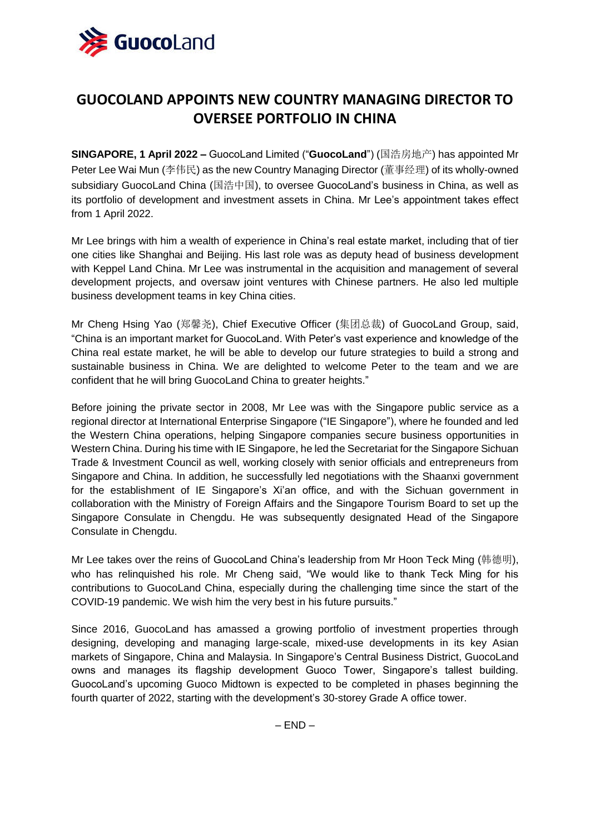

## **GUOCOLAND APPOINTS NEW COUNTRY MANAGING DIRECTOR TO OVERSEE PORTFOLIO IN CHINA**

**SINGAPORE, 1 April 2022 –** GuocoLand Limited ("**GuocoLand**") (国浩房地产) has appointed Mr Peter Lee Wai Mun (李伟民) as the new Country Managing Director (董事经理) of its wholly-owned subsidiary GuocoLand China (国浩中国), to oversee GuocoLand's business in China, as well as its portfolio of development and investment assets in China. Mr Lee's appointment takes effect from 1 April 2022.

Mr Lee brings with him a wealth of experience in China's real estate market, including that of tier one cities like Shanghai and Beijing. His last role was as deputy head of business development with Keppel Land China. Mr Lee was instrumental in the acquisition and management of several development projects, and oversaw joint ventures with Chinese partners. He also led multiple business development teams in key China cities.

Mr Cheng Hsing Yao (郑馨尧), Chief Executive Officer (集团总裁) of GuocoLand Group, said, "China is an important market for GuocoLand. With Peter's vast experience and knowledge of the China real estate market, he will be able to develop our future strategies to build a strong and sustainable business in China. We are delighted to welcome Peter to the team and we are confident that he will bring GuocoLand China to greater heights."

Before joining the private sector in 2008, Mr Lee was with the Singapore public service as a regional director at International Enterprise Singapore ("IE Singapore"), where he founded and led the Western China operations, helping Singapore companies secure business opportunities in Western China. During his time with IE Singapore, he led the Secretariat for the Singapore Sichuan Trade & Investment Council as well, working closely with senior officials and entrepreneurs from Singapore and China. In addition, he successfully led negotiations with the Shaanxi government for the establishment of IE Singapore's Xi'an office, and with the Sichuan government in collaboration with the Ministry of Foreign Affairs and the Singapore Tourism Board to set up the Singapore Consulate in Chengdu. He was subsequently designated Head of the Singapore Consulate in Chengdu.

Mr Lee takes over the reins of GuocoLand China's leadership from Mr Hoon Teck Ming (韩德明), who has relinquished his role. Mr Cheng said, "We would like to thank Teck Ming for his contributions to GuocoLand China, especially during the challenging time since the start of the COVID-19 pandemic. We wish him the very best in his future pursuits."

Since 2016, GuocoLand has amassed a growing portfolio of investment properties through designing, developing and managing large-scale, mixed-use developments in its key Asian markets of Singapore, China and Malaysia. In Singapore's Central Business District, GuocoLand owns and manages its flagship development Guoco Tower, Singapore's tallest building. GuocoLand's upcoming Guoco Midtown is expected to be completed in phases beginning the fourth quarter of 2022, starting with the development's 30-storey Grade A office tower.